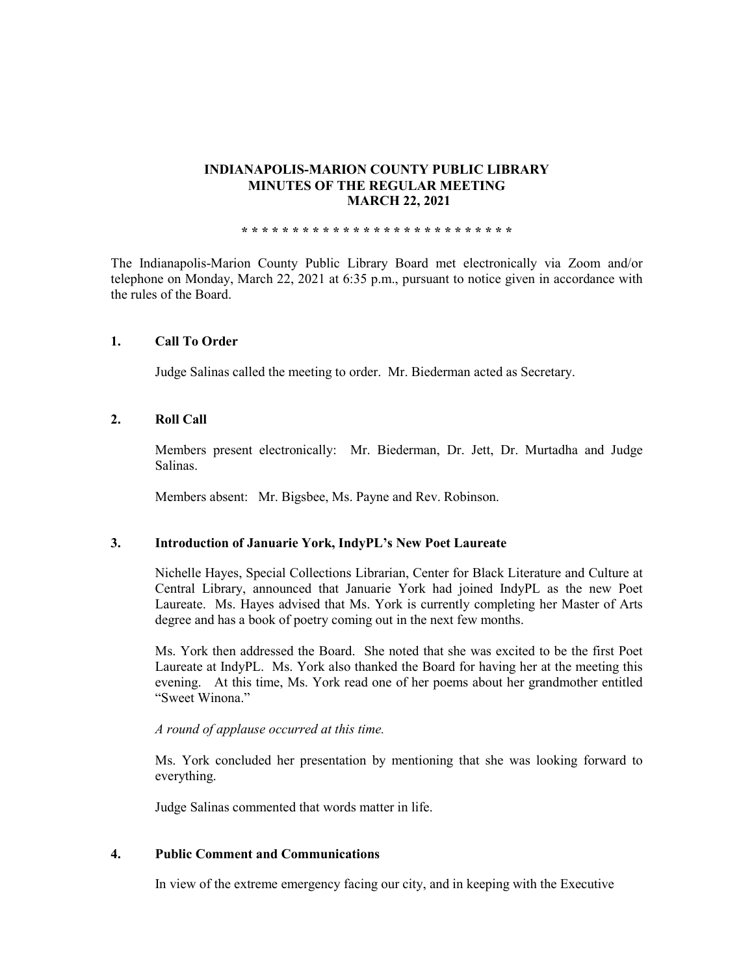# **INDIANAPOLIS-MARION COUNTY PUBLIC LIBRARY MINUTES OF THE REGULAR MEETING MARCH 22, 2021**

**\* \* \* \* \* \* \* \* \* \* \* \* \* \* \* \* \* \* \* \* \* \* \* \* \* \* \***

The Indianapolis-Marion County Public Library Board met electronically via Zoom and/or telephone on Monday, March 22, 2021 at 6:35 p.m., pursuant to notice given in accordance with the rules of the Board.

# **1. Call To Order**

Judge Salinas called the meeting to order. Mr. Biederman acted as Secretary.

# **2. Roll Call**

Members present electronically: Mr. Biederman, Dr. Jett, Dr. Murtadha and Judge Salinas.

Members absent: Mr. Bigsbee, Ms. Payne and Rev. Robinson.

# **3. Introduction of Januarie York, IndyPL's New Poet Laureate**

Nichelle Hayes, Special Collections Librarian, Center for Black Literature and Culture at Central Library, announced that Januarie York had joined IndyPL as the new Poet Laureate. Ms. Hayes advised that Ms. York is currently completing her Master of Arts degree and has a book of poetry coming out in the next few months.

Ms. York then addressed the Board. She noted that she was excited to be the first Poet Laureate at IndyPL. Ms. York also thanked the Board for having her at the meeting this evening. At this time, Ms. York read one of her poems about her grandmother entitled "Sweet Winona."

## *A round of applause occurred at this time.*

Ms. York concluded her presentation by mentioning that she was looking forward to everything.

Judge Salinas commented that words matter in life.

# **4. Public Comment and Communications**

In view of the extreme emergency facing our city, and in keeping with the Executive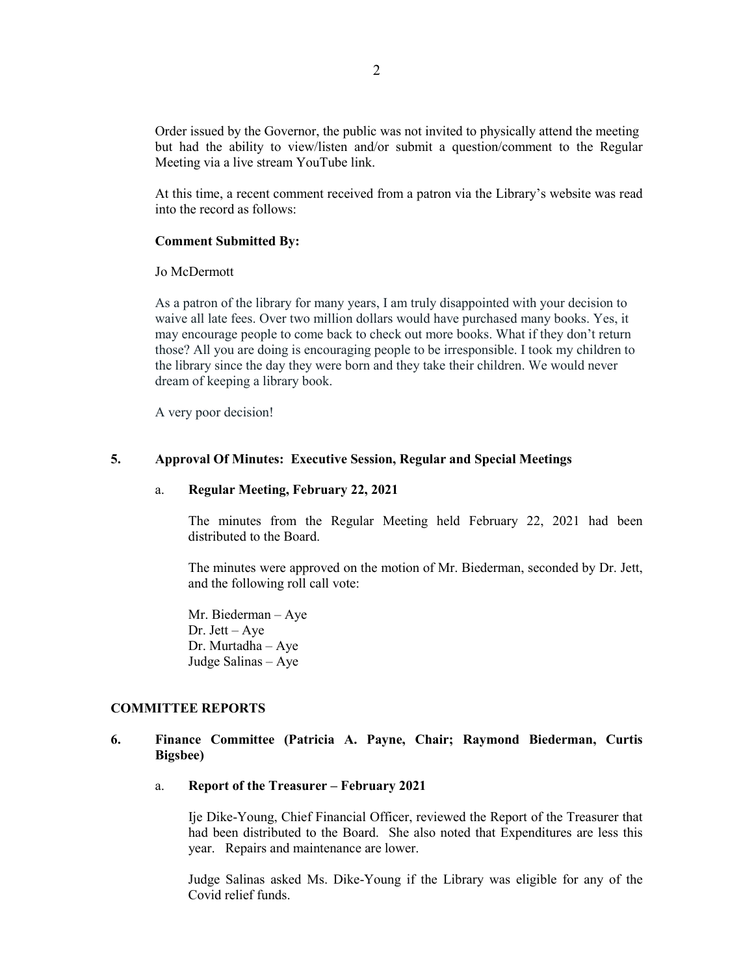Order issued by the Governor, the public was not invited to physically attend the meeting but had the ability to view/listen and/or submit a question/comment to the Regular Meeting via a live stream YouTube link.

At this time, a recent comment received from a patron via the Library's website was read into the record as follows:

### **Comment Submitted By:**

Jo McDermott

As a patron of the library for many years, I am truly disappointed with your decision to waive all late fees. Over two million dollars would have purchased many books. Yes, it may encourage people to come back to check out more books. What if they don't return those? All you are doing is encouraging people to be irresponsible. I took my children to the library since the day they were born and they take their children. We would never dream of keeping a library book.

A very poor decision!

### **5. Approval Of Minutes: Executive Session, Regular and Special Meetings**

### a. **Regular Meeting, February 22, 2021**

The minutes from the Regular Meeting held February 22, 2021 had been distributed to the Board.

The minutes were approved on the motion of Mr. Biederman, seconded by Dr. Jett, and the following roll call vote:

Mr. Biederman – Aye Dr. Jett – Aye Dr. Murtadha – Aye Judge Salinas – Aye

# **COMMITTEE REPORTS**

# **6. Finance Committee (Patricia A. Payne, Chair; Raymond Biederman, Curtis Bigsbee)**

a. **Report of the Treasurer – February 2021**

Ije Dike-Young, Chief Financial Officer, reviewed the Report of the Treasurer that had been distributed to the Board. She also noted that Expenditures are less this year. Repairs and maintenance are lower.

Judge Salinas asked Ms. Dike-Young if the Library was eligible for any of the Covid relief funds.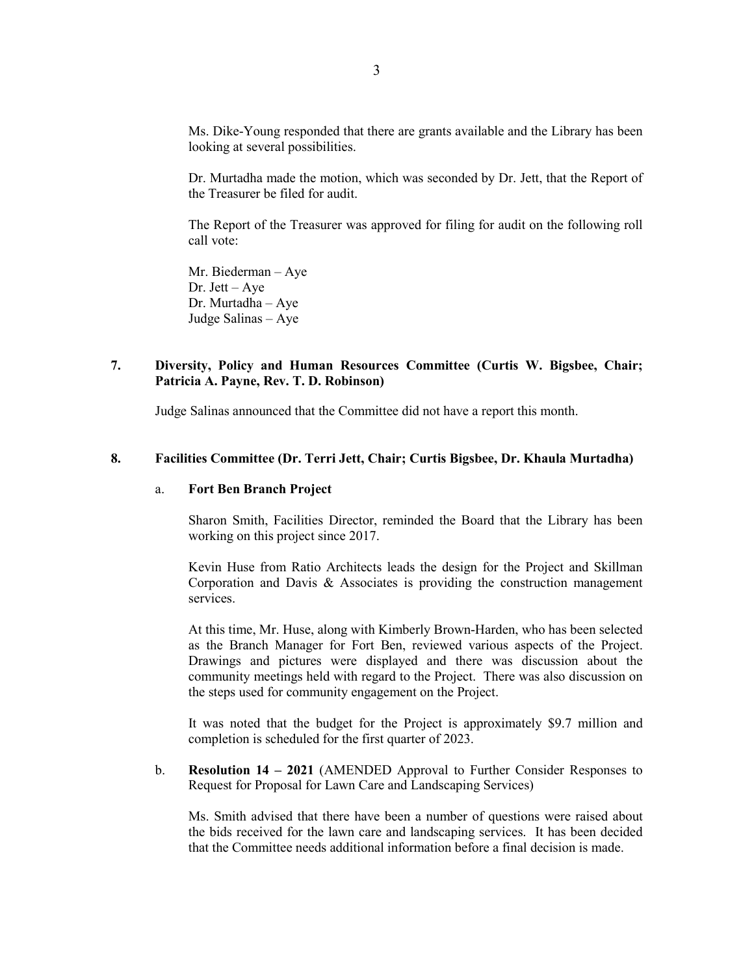Ms. Dike-Young responded that there are grants available and the Library has been looking at several possibilities.

Dr. Murtadha made the motion, which was seconded by Dr. Jett, that the Report of the Treasurer be filed for audit.

The Report of the Treasurer was approved for filing for audit on the following roll call vote:

Mr. Biederman – Aye Dr. Jett – Aye Dr. Murtadha – Aye Judge Salinas – Aye

# **7. Diversity, Policy and Human Resources Committee (Curtis W. Bigsbee, Chair; Patricia A. Payne, Rev. T. D. Robinson)**

Judge Salinas announced that the Committee did not have a report this month.

### **8. Facilities Committee (Dr. Terri Jett, Chair; Curtis Bigsbee, Dr. Khaula Murtadha)**

# a. **Fort Ben Branch Project**

Sharon Smith, Facilities Director, reminded the Board that the Library has been working on this project since 2017.

Kevin Huse from Ratio Architects leads the design for the Project and Skillman Corporation and Davis & Associates is providing the construction management services.

At this time, Mr. Huse, along with Kimberly Brown-Harden, who has been selected as the Branch Manager for Fort Ben, reviewed various aspects of the Project. Drawings and pictures were displayed and there was discussion about the community meetings held with regard to the Project. There was also discussion on the steps used for community engagement on the Project.

It was noted that the budget for the Project is approximately \$9.7 million and completion is scheduled for the first quarter of 2023.

b. **Resolution 14 – 2021** (AMENDED Approval to Further Consider Responses to Request for Proposal for Lawn Care and Landscaping Services)

Ms. Smith advised that there have been a number of questions were raised about the bids received for the lawn care and landscaping services. It has been decided that the Committee needs additional information before a final decision is made.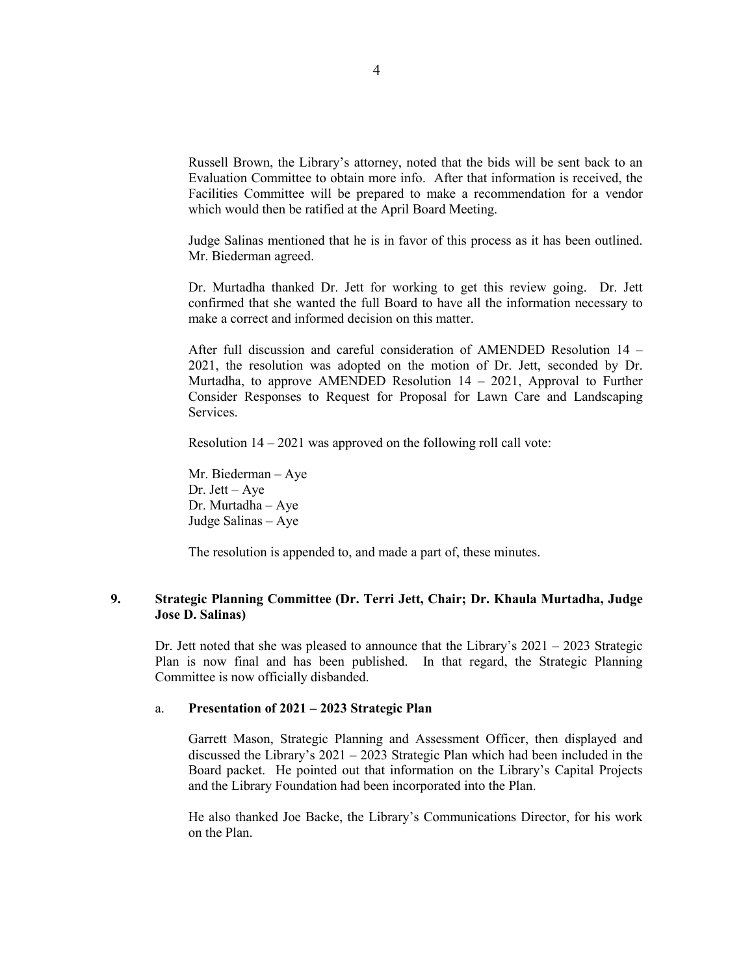Russell Brown, the Library's attorney, noted that the bids will be sent back to an Evaluation Committee to obtain more info. After that information is received, the Facilities Committee will be prepared to make a recommendation for a vendor which would then be ratified at the April Board Meeting.

Judge Salinas mentioned that he is in favor of this process as it has been outlined. Mr. Biederman agreed.

Dr. Murtadha thanked Dr. Jett for working to get this review going. Dr. Jett confirmed that she wanted the full Board to have all the information necessary to make a correct and informed decision on this matter.

After full discussion and careful consideration of AMENDED Resolution 14 – 2021, the resolution was adopted on the motion of Dr. Jett, seconded by Dr. Murtadha, to approve AMENDED Resolution 14 – 2021, Approval to Further Consider Responses to Request for Proposal for Lawn Care and Landscaping Services.

Resolution 14 – 2021 was approved on the following roll call vote:

Mr. Biederman – Aye Dr. Jett – Aye Dr. Murtadha – Aye Judge Salinas – Aye

The resolution is appended to, and made a part of, these minutes.

# **9. Strategic Planning Committee (Dr. Terri Jett, Chair; Dr. Khaula Murtadha, Judge Jose D. Salinas)**

Dr. Jett noted that she was pleased to announce that the Library's 2021 – 2023 Strategic Plan is now final and has been published. In that regard, the Strategic Planning Committee is now officially disbanded.

### a. **Presentation of 2021 – 2023 Strategic Plan**

Garrett Mason, Strategic Planning and Assessment Officer, then displayed and discussed the Library's 2021 – 2023 Strategic Plan which had been included in the Board packet. He pointed out that information on the Library's Capital Projects and the Library Foundation had been incorporated into the Plan.

He also thanked Joe Backe, the Library's Communications Director, for his work on the Plan.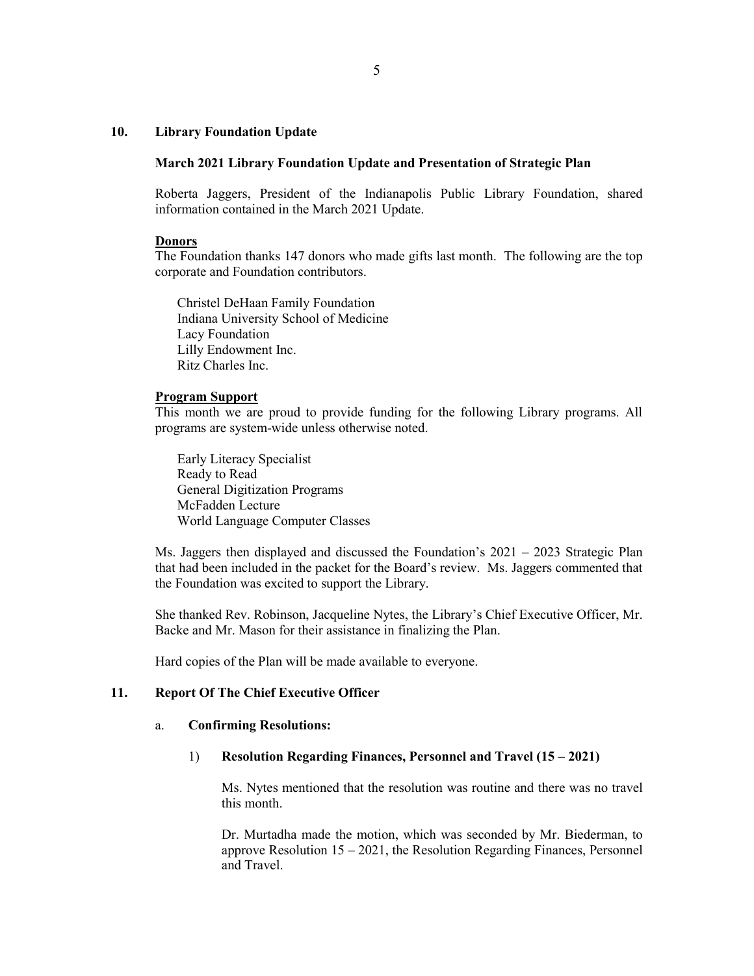# **10. Library Foundation Update**

### **March 2021 Library Foundation Update and Presentation of Strategic Plan**

Roberta Jaggers, President of the Indianapolis Public Library Foundation, shared information contained in the March 2021 Update.

#### **Donors**

The Foundation thanks 147 donors who made gifts last month. The following are the top corporate and Foundation contributors.

Christel DeHaan Family Foundation Indiana University School of Medicine Lacy Foundation Lilly Endowment Inc. Ritz Charles Inc.

### **Program Support**

This month we are proud to provide funding for the following Library programs. All programs are system-wide unless otherwise noted.

Early Literacy Specialist Ready to Read General Digitization Programs McFadden Lecture World Language Computer Classes

Ms. Jaggers then displayed and discussed the Foundation's  $2021 - 2023$  Strategic Plan that had been included in the packet for the Board's review. Ms. Jaggers commented that the Foundation was excited to support the Library.

She thanked Rev. Robinson, Jacqueline Nytes, the Library's Chief Executive Officer, Mr. Backe and Mr. Mason for their assistance in finalizing the Plan.

Hard copies of the Plan will be made available to everyone.

# **11. Report Of The Chief Executive Officer**

## a. **Confirming Resolutions:**

## 1) **Resolution Regarding Finances, Personnel and Travel (15 – 2021)**

Ms. Nytes mentioned that the resolution was routine and there was no travel this month.

Dr. Murtadha made the motion, which was seconded by Mr. Biederman, to approve Resolution 15 – 2021, the Resolution Regarding Finances, Personnel and Travel.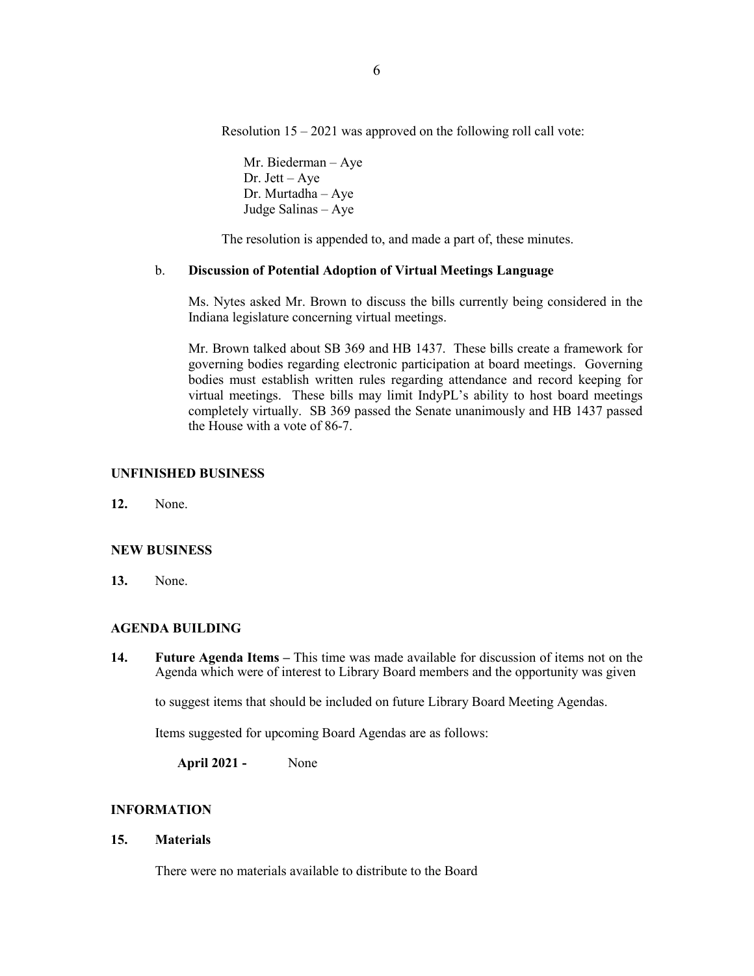Resolution  $15 - 2021$  was approved on the following roll call vote:

Mr. Biederman – Aye Dr. Jett – Aye Dr. Murtadha – Aye Judge Salinas – Aye

The resolution is appended to, and made a part of, these minutes.

# b. **Discussion of Potential Adoption of Virtual Meetings Language**

Ms. Nytes asked Mr. Brown to discuss the bills currently being considered in the Indiana legislature concerning virtual meetings.

Mr. Brown talked about SB 369 and HB 1437. These bills create a framework for governing bodies regarding electronic participation at board meetings. Governing bodies must establish written rules regarding attendance and record keeping for virtual meetings. These bills may limit IndyPL's ability to host board meetings completely virtually. SB 369 passed the Senate unanimously and HB 1437 passed the House with a vote of 86-7.

# **UNFINISHED BUSINESS**

**12.** None.

## **NEW BUSINESS**

**13.** None.

## **AGENDA BUILDING**

**14. Future Agenda Items –** This time was made available for discussion of items not on the Agenda which were of interest to Library Board members and the opportunity was given

to suggest items that should be included on future Library Board Meeting Agendas.

Items suggested for upcoming Board Agendas are as follows:

**April 2021 -** None

# **INFORMATION**

**15. Materials** 

There were no materials available to distribute to the Board